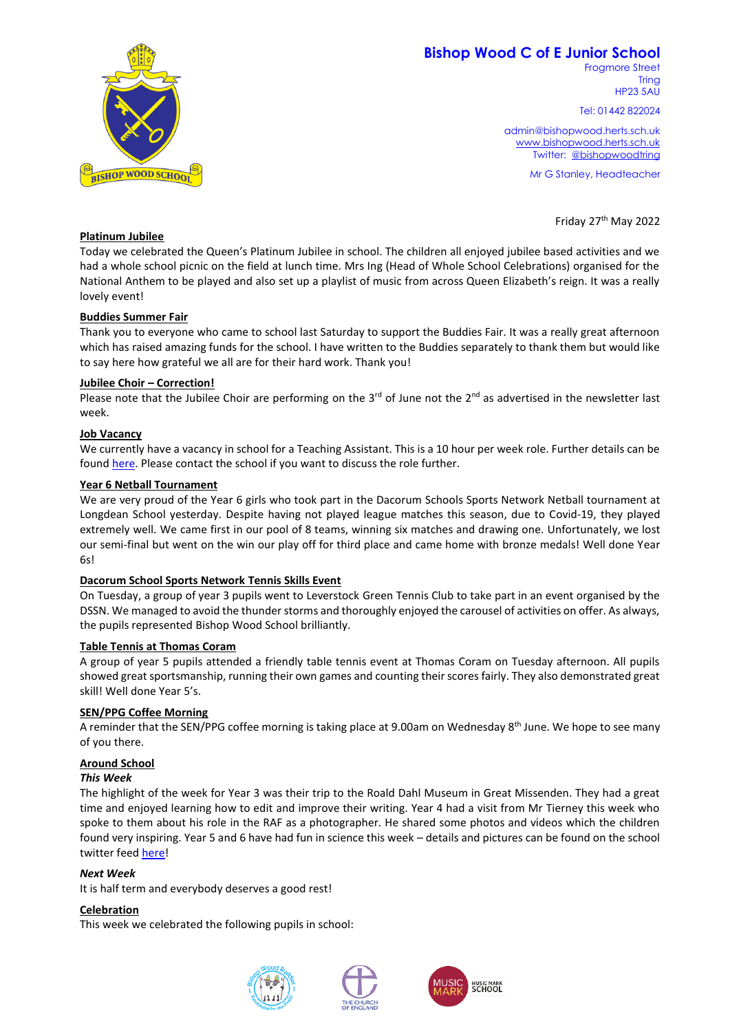# **Bishop Wood C of E Junior School**



Tel: 01442 822024

admin@bishopwood.herts.sch.uk [www.bishopwood.herts.sch.uk](http://www.bishopwood.herts.sch.uk/) Twitter: [@bishopwoodtring](https://twitter.com/bishopwoodtring)

Mr G Stanley, Headteacher

Friday 27<sup>th</sup> May 2022



# **Platinum Jubilee**

Today we celebrated the Queen's Platinum Jubilee in school. The children all enjoyed jubilee based activities and we had a whole school picnic on the field at lunch time. Mrs Ing (Head of Whole School Celebrations) organised for the National Anthem to be played and also set up a playlist of music from across Queen Elizabeth's reign. It was a really lovely event!

### **Buddies Summer Fair**

Thank you to everyone who came to school last Saturday to support the Buddies Fair. It was a really great afternoon which has raised amazing funds for the school. I have written to the Buddies separately to thank them but would like to say here how grateful we all are for their hard work. Thank you!

### **Jubilee Choir – Correction!**

Please note that the Jubilee Choir are performing on the  $3^{rd}$  of June not the  $2^{nd}$  as advertised in the newsletter last week.

### **Job Vacancy**

We currently have a vacancy in school for a Teaching Assistant. This is a 10 hour per week role. Further details can be foun[d here.](https://www.teachinherts.com/find-a-job/view,teaching-assistant_74041.htm) Please contact the school if you want to discuss the role further.

### **Year 6 Netball Tournament**

We are very proud of the Year 6 girls who took part in the Dacorum Schools Sports Network Netball tournament at Longdean School yesterday. Despite having not played league matches this season, due to Covid-19, they played extremely well. We came first in our pool of 8 teams, winning six matches and drawing one. Unfortunately, we lost our semi-final but went on the win our play off for third place and came home with bronze medals! Well done Year  $6s$ 

# **Dacorum School Sports Network Tennis Skills Event**

On Tuesday, a group of year 3 pupils went to Leverstock Green Tennis Club to take part in an event organised by the DSSN. We managed to avoid the thunder storms and thoroughly enjoyed the carousel of activities on offer. As always, the pupils represented Bishop Wood School brilliantly.

### **Table Tennis at Thomas Coram**

A group of year 5 pupils attended a friendly table tennis event at Thomas Coram on Tuesday afternoon. All pupils showed great sportsmanship, running their own games and counting their scores fairly. They also demonstrated great skill! Well done Year 5's.

# **SEN/PPG Coffee Morning**

A reminder that the SEN/PPG coffee morning is taking place at 9.00am on Wednesday 8<sup>th</sup> June. We hope to see many of you there.

# **Around School**

### *This Week*

The highlight of the week for Year 3 was their trip to the Roald Dahl Museum in Great Missenden. They had a great time and enjoyed learning how to edit and improve their writing. Year 4 had a visit from Mr Tierney this week who spoke to them about his role in the RAF as a photographer. He shared some photos and videos which the children found very inspiring. Year 5 and 6 have had fun in science this week – details and pictures can be found on the school twitter feed [here!](https://twitter.com/bishopwoodtring)

### *Next Week*

It is half term and everybody deserves a good rest!

# **Celebration**

This week we celebrated the following pupils in school: